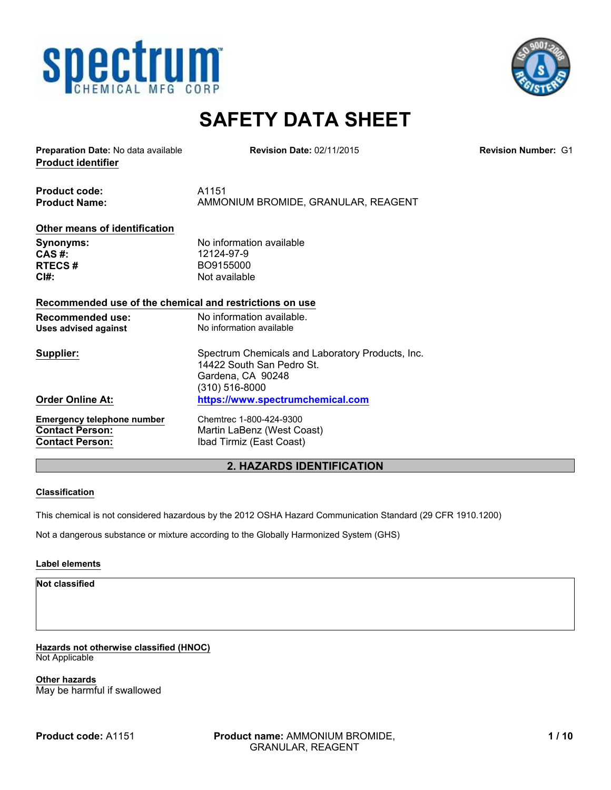



# **SAFETY DATA SHEET**

**Product identifier Preparation Date:** No data available **Revision Number:** G1

**Revision Date:** 02/11/2015

**Product code:** A1151 **Product Name:** AMMONIUM BROMIDE, GRANULAR, REAGENT

## **Other means of identification**

**Synonyms:** No information available<br> **CAS** #: 12124-97-9 **CAS #:** 12124-97-9<br>**RTECS #** BO9155000 **RTECS #** BO9155000 **CI#:** Not available

### **Recommended use of the chemical and restrictions on use**

| Recommended use:<br>Uses advised against | No information available.<br>No information available                         |
|------------------------------------------|-------------------------------------------------------------------------------|
| Supplier:                                | Spectrum Chemicals and Laboratory Products, Inc.<br>14422 South San Pedro St. |
|                                          | Gardena, CA 90248                                                             |
|                                          | (310) 516-8000                                                                |
| <b>Order Online At:</b>                  | https://www.spectrumchemical.com                                              |
| <b>Emergency telephone number</b>        | Chemtrec 1-800-424-9300                                                       |
| <b>Contact Person:</b>                   | Martin LaBenz (West Coast)                                                    |
| <b>Contact Person:</b>                   | Ibad Tirmiz (East Coast)                                                      |

# **2. HAZARDS IDENTIFICATION**

### **Classification**

This chemical is not considered hazardous by the 2012 OSHA Hazard Communication Standard (29 CFR 1910.1200)

Not a dangerous substance or mixture according to the Globally Harmonized System (GHS)

### **Label elements**

**Not classified**

**Hazards not otherwise classified (HNOC)** Not Applicable

**Other hazards** May be harmful if swallowed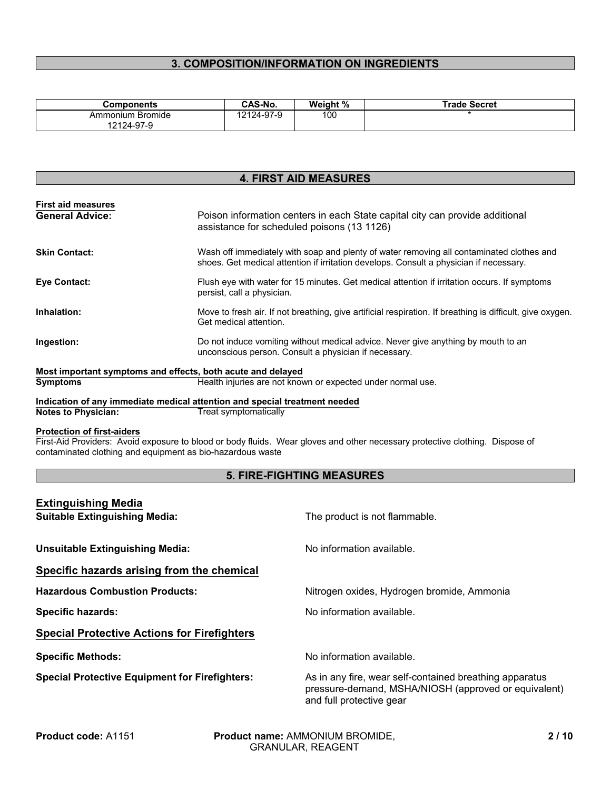# **3. COMPOSITION/INFORMATION ON INGREDIENTS**

| Components                        | <b>CAS-No.</b> | Weight % | Trade Secret |
|-----------------------------------|----------------|----------|--------------|
| Bromide<br>Ammonium<br>12124-97-9 | 12124-97-9     | 100      |              |

# **4. FIRST AID MEASURES**

| <b>First aid measures</b> |                                                                                                                                                                                    |
|---------------------------|------------------------------------------------------------------------------------------------------------------------------------------------------------------------------------|
| <b>General Advice:</b>    | Poison information centers in each State capital city can provide additional<br>assistance for scheduled poisons (13 1126)                                                         |
| <b>Skin Contact:</b>      | Wash off immediately with soap and plenty of water removing all contaminated clothes and<br>shoes. Get medical attention if irritation develops. Consult a physician if necessary. |
| Eye Contact:              | Flush eye with water for 15 minutes. Get medical attention if irritation occurs. If symptoms<br>persist, call a physician.                                                         |
| Inhalation:               | Move to fresh air. If not breathing, give artificial respiration. If breathing is difficult, give oxygen.<br>Get medical attention.                                                |
| Ingestion:                | Do not induce vomiting without medical advice. Never give anything by mouth to an<br>unconscious person. Consult a physician if necessary.                                         |
|                           | Most important symptoms and effects, both acute and delayed                                                                                                                        |
| <b>Symptoms</b>           | Health injuries are not known or expected under normal use.                                                                                                                        |
|                           | Indication of any immediate medical attention and special treatment needed                                                                                                         |

**Indication of any immediate medical attention and special treatment needed<br>Notes to Physician:** Treat symptomatically **Treat symptomatically** 

#### **Protection of first-aiders**

First-Aid Providers: Avoid exposure to blood or body fluids. Wear gloves and other necessary protective clothing. Dispose of contaminated clothing and equipment as bio-hazardous waste

## **5. FIRE-FIGHTING MEASURES**

| <b>Extinguishing Media</b>                            |                                                                                                                                             |  |
|-------------------------------------------------------|---------------------------------------------------------------------------------------------------------------------------------------------|--|
| <b>Suitable Extinguishing Media:</b>                  | The product is not flammable.                                                                                                               |  |
|                                                       |                                                                                                                                             |  |
| <b>Unsuitable Extinguishing Media:</b>                | No information available.                                                                                                                   |  |
| Specific hazards arising from the chemical            |                                                                                                                                             |  |
| <b>Hazardous Combustion Products:</b>                 | Nitrogen oxides, Hydrogen bromide, Ammonia                                                                                                  |  |
| <b>Specific hazards:</b>                              | No information available.                                                                                                                   |  |
| <b>Special Protective Actions for Firefighters</b>    |                                                                                                                                             |  |
| <b>Specific Methods:</b>                              | No information available.                                                                                                                   |  |
| <b>Special Protective Equipment for Firefighters:</b> | As in any fire, wear self-contained breathing apparatus<br>pressure-demand, MSHA/NIOSH (approved or equivalent)<br>and full protective gear |  |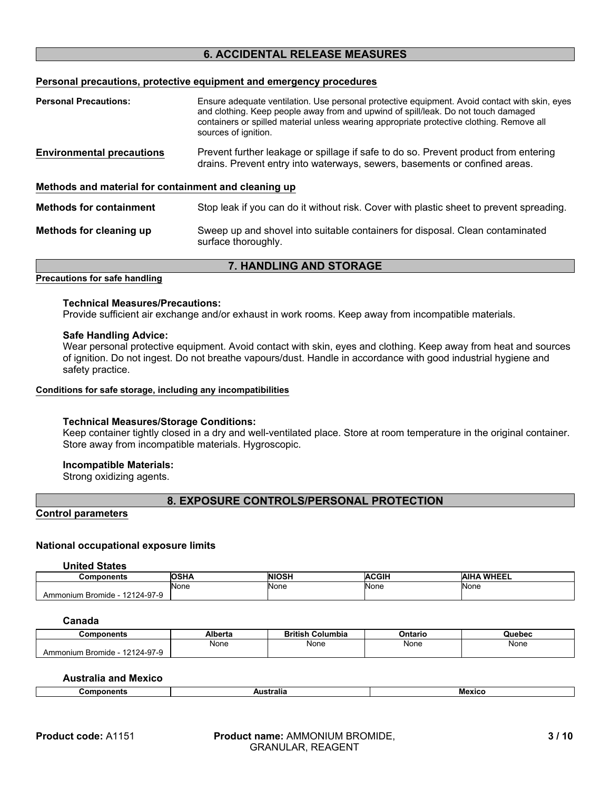# **6. ACCIDENTAL RELEASE MEASURES**

### **Personal precautions, protective equipment and emergency procedures**

| <b>Personal Precautions:</b>                         | Ensure adequate ventilation. Use personal protective equipment. Avoid contact with skin, eyes<br>and clothing. Keep people away from and upwind of spill/leak. Do not touch damaged<br>containers or spilled material unless wearing appropriate protective clothing. Remove all<br>sources of ignition. |  |
|------------------------------------------------------|----------------------------------------------------------------------------------------------------------------------------------------------------------------------------------------------------------------------------------------------------------------------------------------------------------|--|
| <b>Environmental precautions</b>                     | Prevent further leakage or spillage if safe to do so. Prevent product from entering<br>drains. Prevent entry into waterways, sewers, basements or confined areas.                                                                                                                                        |  |
| Methods and material for containment and cleaning up |                                                                                                                                                                                                                                                                                                          |  |
| <b>Methods for containment</b>                       | Stop leak if you can do it without risk. Cover with plastic sheet to prevent spreading.                                                                                                                                                                                                                  |  |
| Methods for cleaning up                              | Sweep up and shovel into suitable containers for disposal. Clean contaminated<br>surface thoroughly.                                                                                                                                                                                                     |  |

# **7. HANDLING AND STORAGE**

# **Precautions for safe handling**

#### **Technical Measures/Precautions:**

Provide sufficient air exchange and/or exhaust in work rooms. Keep away from incompatible materials.

#### **Safe Handling Advice:**

Wear personal protective equipment. Avoid contact with skin, eyes and clothing. Keep away from heat and sources of ignition. Do not ingest. Do not breathe vapours/dust. Handle in accordance with good industrial hygiene and safety practice.

#### **Conditions for safe storage, including any incompatibilities**

#### **Technical Measures/Storage Conditions:**

Keep container tightly closed in a dry and well-ventilated place. Store at room temperature in the original container. Store away from incompatible materials. Hygroscopic.

### **Incompatible Materials:**

Strong oxidizing agents.

## **8. EXPOSURE CONTROLS/PERSONAL PROTECTION**

### **Control parameters**

### **National occupational exposure limits**

**United States**

| <b>Components</b>                       | <b>OSHA</b>        | <b>NIOSH</b>       | <b>ACGIH</b> | <b>WHEEL</b><br><b>AIH</b> |
|-----------------------------------------|--------------------|--------------------|--------------|----------------------------|
|                                         | <b>None</b><br>___ | <b>None</b><br>___ | None         | None<br>__                 |
| 124-97-9<br>. Bromide<br>454<br>nmonium |                    |                    |              |                            |

## **Canada**

| こomponents                                                  | Alberta | <b>British</b><br><b>Columbia</b> | Ontario     | Quebec |
|-------------------------------------------------------------|---------|-----------------------------------|-------------|--------|
|                                                             | None    | None                              | <b>None</b> | None   |
| $24 - 97 - 9$<br>.0101<br><b>Bromide</b><br><b>\mmonium</b> |         |                                   |             |        |

## **Australia and Mexico**

|--|--|--|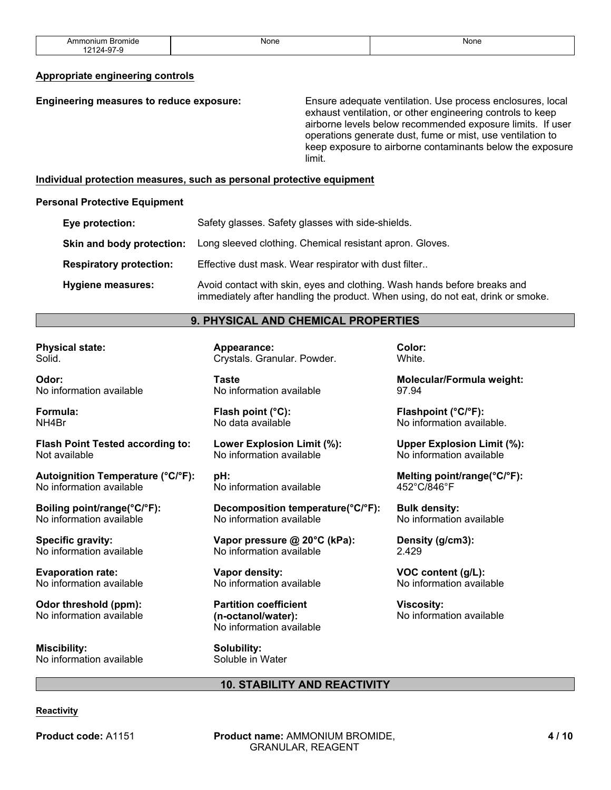| Ammonium Bromide                                      | None | <b>None</b> |
|-------------------------------------------------------|------|-------------|
|                                                       | .    | .           |
| $\sim$<br>.04.<br>$\lambda$<br>-u.<br>. -<br>ີ<br>. . |      |             |

#### **Appropriate engineering controls**

| Engineering measures to reduce exposure:                              | Ensure adequate ventilation. Use process enclosures, local<br>exhaust ventilation, or other engineering controls to keep<br>airborne levels below recommended exposure limits. If user<br>operations generate dust, fume or mist, use ventilation to<br>keep exposure to airborne contaminants below the exposure<br>limit. |
|-----------------------------------------------------------------------|-----------------------------------------------------------------------------------------------------------------------------------------------------------------------------------------------------------------------------------------------------------------------------------------------------------------------------|
| Individual protection measures, such as personal protective equipment |                                                                                                                                                                                                                                                                                                                             |

#### **Personal Protective Equipment**

| Eye protection:                | Safety glasses. Safety glasses with side-shields.                                                                                                           |
|--------------------------------|-------------------------------------------------------------------------------------------------------------------------------------------------------------|
| Skin and body protection:      | Long sleeved clothing. Chemical resistant apron. Gloves.                                                                                                    |
| <b>Respiratory protection:</b> | Effective dust mask. Wear respirator with dust filter                                                                                                       |
| Hygiene measures:              | Avoid contact with skin, eyes and clothing. Wash hands before breaks and<br>immediately after handling the product. When using, do not eat, drink or smoke. |

## **9. PHYSICAL AND CHEMICAL PROPERTIES**

**Physical state:** Solid.

**Odor:** No information available

**Formula:** NH4Br

**Flash Point Tested according to:** Not available

**Autoignition Temperature (°C/°F):** No information available

**Boiling point/range(°C/°F):** No information available

**Specific gravity:** No information available

**Evaporation rate:** No information available

**Odor threshold (ppm):** No information available

**Miscibility:** No information available **Appearance:** Crystals. Granular. Powder.

**Taste** No information available

**Flash point (°C):** No data available

**Lower Explosion Limit (%):** No information available

**pH:** No information available

**Decomposition temperature(°C/°F):** No information available

**Vapor pressure @ 20°C (kPa):** No information available

**Vapor density:** No information available

**Partition coefficient (n-octanol/water):** No information available

**Solubility:** Soluble in Water **Color:** White.

**Molecular/Formula weight:** 97.94

**Flashpoint (°C/°F):** No information available.

**Upper Explosion Limit (%):** No information available

**Melting point/range(°C/°F):** 452°C/846°F

**Bulk density:** No information available

**Density (g/cm3):** 2.429

**VOC content (g/L):** No information available

**Viscosity:** No information available

#### **10. STABILITY AND REACTIVITY**

#### **Reactivity**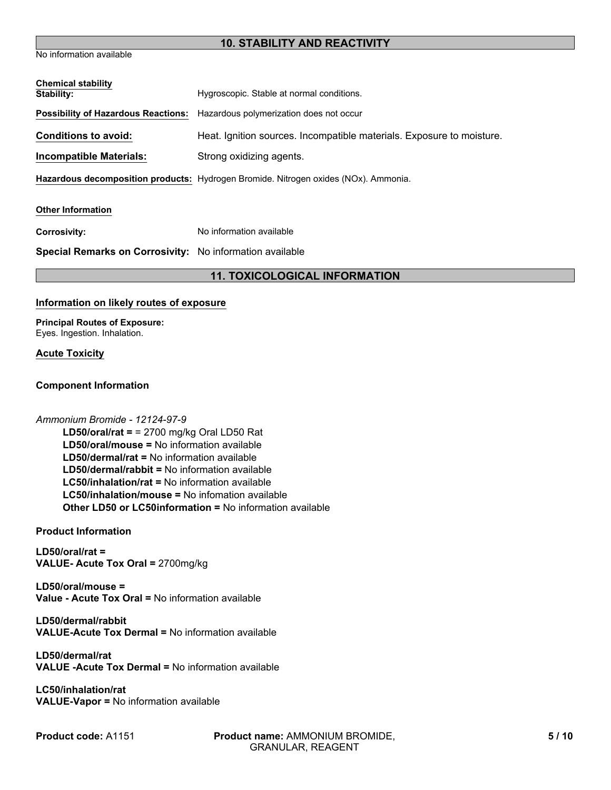# **10. STABILITY AND REACTIVITY**

No information available

| <b>Chemical stability</b><br>Stability:                  | Hygroscopic. Stable at normal conditions.                                           |
|----------------------------------------------------------|-------------------------------------------------------------------------------------|
| <b>Possibility of Hazardous Reactions:</b>               | Hazardous polymerization does not occur                                             |
|                                                          |                                                                                     |
| <b>Conditions to avoid:</b>                              | Heat. Ignition sources. Incompatible materials. Exposure to moisture.               |
| <b>Incompatible Materials:</b>                           | Strong oxidizing agents.                                                            |
|                                                          | Hazardous decomposition products: Hydrogen Bromide. Nitrogen oxides (NOx). Ammonia. |
| <b>Other Information</b>                                 |                                                                                     |
| <b>Corrosivity:</b>                                      | No information available                                                            |
| Special Remarks on Corrosivity: No information available |                                                                                     |
|                                                          | <b>11. TOXICOLOGICAL INFORMATION</b>                                                |

## **Information on likely routes of exposure**

**Principal Routes of Exposure:** Eyes. Ingestion. Inhalation.

### **Acute Toxicity**

### **Component Information**

#### *Ammonium Bromide - 12124-97-9*

**LD50/dermal/rabbit =** No information available **LC50/inhalation/rat =** No information available **LD50/oral/mouse =** No information available **LC50/inhalation/mouse =** No infomation available **LD50/oral/rat =** = 2700 mg/kg Oral LD50 Rat **Other LD50 or LC50information =** No information available **LD50/dermal/rat =** No information available

### **Product Information**

**LD50/oral/rat = VALUE- Acute Tox Oral =** 2700mg/kg

**LD50/oral/mouse = Value - Acute Tox Oral =** No information available

**LD50/dermal/rabbit VALUE-Acute Tox Dermal =** No information available

**LD50/dermal/rat VALUE -Acute Tox Dermal =** No information available

**LC50/inhalation/rat VALUE-Vapor =** No information available

**Product code:** A1151

**Product name:** AMMONIUM BROMIDE, GRANULAR, REAGENT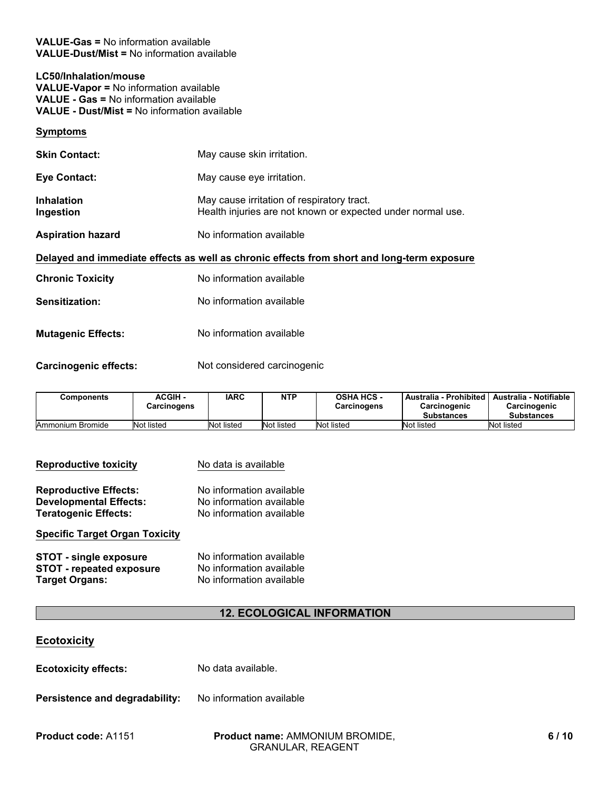**VALUE-Gas =** No information available **VALUE-Dust/Mist =** No information available

## **LC50/Inhalation/mouse**

**VALUE-Vapor =** No information available **VALUE - Gas =** No information available

**VALUE - Dust/Mist =** No information available

## **Symptoms**

| <b>Skin Contact:</b>           | May cause skin irritation.                                                                                |
|--------------------------------|-----------------------------------------------------------------------------------------------------------|
| <b>Eye Contact:</b>            | May cause eye irritation.                                                                                 |
| <b>Inhalation</b><br>Ingestion | May cause irritation of respiratory tract.<br>Health injuries are not known or expected under normal use. |
| <b>Aspiration hazard</b>       | No information available                                                                                  |
|                                | Delayed and immediate effects as well as chronic effects from short and long-term exposure                |
| <b>Chronic Toxicity</b>        | No information available                                                                                  |
| <b>Sensitization:</b>          | No information available                                                                                  |
| <b>Mutagenic Effects:</b>      | No information available                                                                                  |

Carcinogenic effects: Not considered carcinogenic

| Components       | <b>ACGIH -</b><br>Carcinogens | IARC       | <b>NTP</b> | <b>OSHA HCS -</b><br><b>Carcinogens</b> | Australia - Prohibited<br>Carcinogenic<br><b>Substances</b> | Australia - Notifiable<br>Carcinogenic<br><b>Substances</b> |
|------------------|-------------------------------|------------|------------|-----------------------------------------|-------------------------------------------------------------|-------------------------------------------------------------|
| Ammonium Bromide | Not listed                    | Not listed | Not listed | Not listed                              | Not listed                                                  | Not listed                                                  |

| <b>Reproductive toxicity</b>          | No data is available     |
|---------------------------------------|--------------------------|
| <b>Reproductive Effects:</b>          | No information available |
| <b>Developmental Effects:</b>         | No information available |
| <b>Teratogenic Effects:</b>           | No information available |
| <b>Specific Target Organ Toxicity</b> |                          |
| <b>STOT - single exposure</b>         | No information available |
| <b>STOT - repeated exposure</b>       | No information available |
| <b>Target Organs:</b>                 | No information available |

# **12. ECOLOGICAL INFORMATION**

# **Ecotoxicity**

**Ecotoxicity effects:** No data available.

Persistence and degradability: No information available

**Product name:** AMMONIUM BROMIDE, **Product code:** A1151 **6 / 10**GRANULAR, REAGENT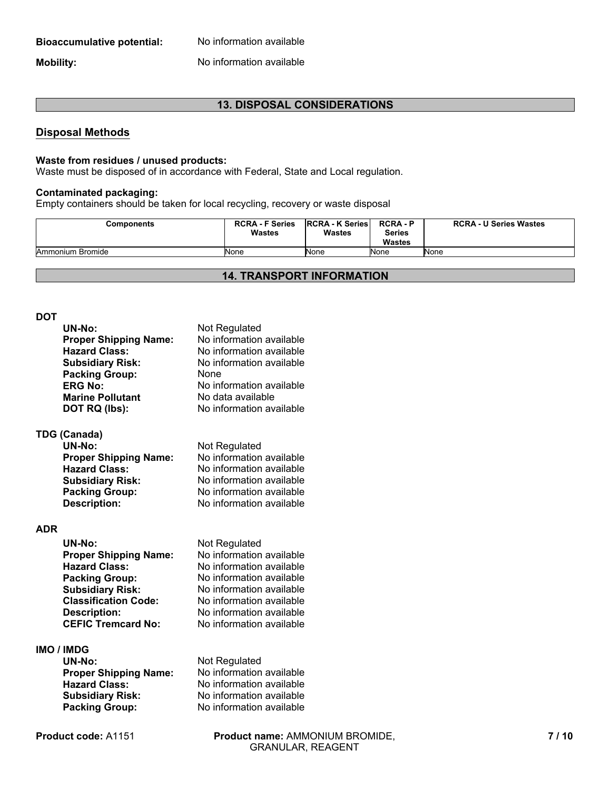# **Bioaccumulative potential:** No information available

**Mobility:** No information available

# **13. DISPOSAL CONSIDERATIONS**

## **Disposal Methods**

### **Waste from residues / unused products:**

Waste must be disposed of in accordance with Federal, State and Local regulation.

## **Contaminated packaging:**

Empty containers should be taken for local recycling, recovery or waste disposal

| Components       | <b>RCRA - F Series</b><br>Wastes | <b>IRCRA - K Series</b><br><b>Wastes</b> | <b>RCRA-P</b><br><b>Series</b><br><b>Wastes</b> | <b>RCRA - U Series Wastes</b> |
|------------------|----------------------------------|------------------------------------------|-------------------------------------------------|-------------------------------|
| Ammonium Bromide | <b>None</b>                      | None                                     | None                                            | <b>None</b>                   |

## **14. TRANSPORT INFORMATION**

#### **DOT**

| UN-No:                       | Not Regulated            |
|------------------------------|--------------------------|
| <b>Proper Shipping Name:</b> | No information available |
| <b>Hazard Class:</b>         | No information available |
| <b>Subsidiary Risk:</b>      | No information available |
| <b>Packing Group:</b>        | None                     |
| <b>ERG No:</b>               | No information available |
| <b>Marine Pollutant</b>      | No data available        |
| DOT RQ (lbs):                | No information available |
| <b>TDG (Canada)</b>          |                          |
| UN-No:                       | Not Regulated            |
| <b>Proper Shipping Name:</b> | No information available |
| <b>Hazard Class:</b>         | No information available |
| <b>Subsidiary Risk:</b>      | No information available |
| <b>Packing Group:</b>        | No information available |
| <b>Description:</b>          | No information available |
|                              |                          |
| ΔDR                          |                          |

# **ADR**

| <b>UN-No:</b>                | Not Regulated            |
|------------------------------|--------------------------|
| <b>Proper Shipping Name:</b> | No information available |
| <b>Hazard Class:</b>         | No information available |
| <b>Packing Group:</b>        | No information available |
| <b>Subsidiary Risk:</b>      | No information available |
| <b>Classification Code:</b>  | No information available |
| <b>Description:</b>          | No information available |
| <b>CEFIC Tremcard No:</b>    | No information available |

## **IMO / IMDG**

**Proper Shipping Name:**<br>Hazard Class: **Subsidiary Risk:** No information available<br> **Packing Group:** No information available

# **UN-No:** Not Regulated<br> **Proper Shipping Name:** No information available **Hazard Class:** No information available **Packing Group:** No information available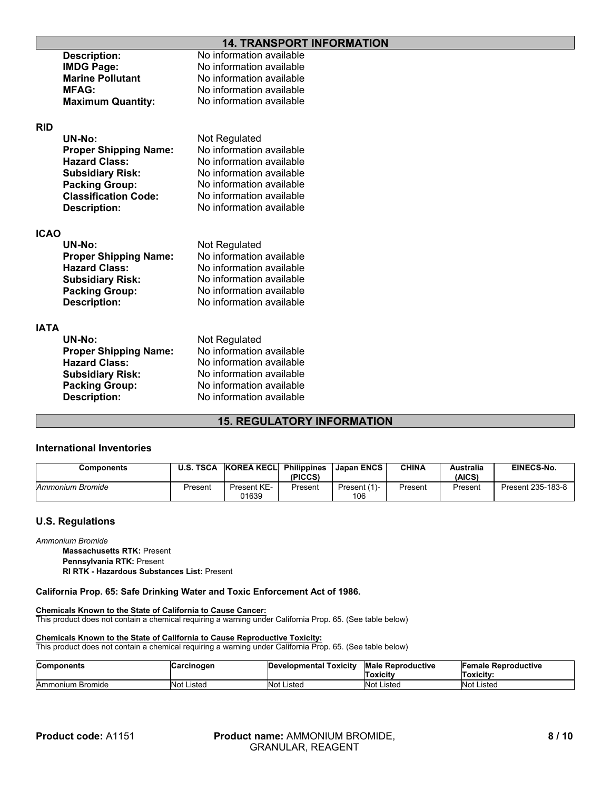## **14. TRANSPORT INFORMATION**

|             | <b>Description:</b>          | No information available |
|-------------|------------------------------|--------------------------|
|             | <b>IMDG Page:</b>            | No information available |
|             | <b>Marine Pollutant</b>      | No information available |
|             | <b>MFAG:</b>                 | No information available |
|             | <b>Maximum Quantity:</b>     | No information available |
| <b>RID</b>  |                              |                          |
|             | UN-No:                       | Not Regulated            |
|             | <b>Proper Shipping Name:</b> | No information available |
|             | <b>Hazard Class:</b>         | No information available |
|             | <b>Subsidiary Risk:</b>      | No information available |
|             | <b>Packing Group:</b>        | No information available |
|             | <b>Classification Code:</b>  | No information available |
|             | <b>Description:</b>          | No information available |
| <b>ICAO</b> |                              |                          |
|             | UN-No:                       | Not Regulated            |
|             | <b>Proper Shipping Name:</b> | No information available |
|             | <b>Hazard Class:</b>         | No information available |
|             | <b>Subsidiary Risk:</b>      | No information available |
|             | <b>Packing Group:</b>        | No information available |
|             | <b>Description:</b>          | No information available |
| <b>IATA</b> |                              |                          |
|             | UN-No:                       | Not Regulated            |
|             | <b>Proper Shipping Name:</b> | No information available |
|             | <b>Hazard Class:</b>         | No information available |
|             | <b>Subsidiary Risk:</b>      | No information available |
|             | <b>Packing Group:</b>        | No information available |
|             | <b>Description:</b>          | No information available |
|             |                              |                          |

### **15. REGULATORY INFORMATION**

#### **International Inventories**

| <b>Components</b> | <b>U.S. TSCA</b> | KOREA KECLI          | <b>Philippines</b><br>(PICCS) | l Japan ENCS        | CHINA   | Australia<br>(AICS) | <b>EINECS-No.</b> |
|-------------------|------------------|----------------------|-------------------------------|---------------------|---------|---------------------|-------------------|
| Ammonium Bromide  | Present          | Present KE-<br>01639 | Present                       | Present (1)-<br>106 | Present | Present             | Present 235-183-8 |

### **U.S. Regulations**

*Ammonium Bromide*

**Pennsylvania RTK:** Present **Massachusetts RTK:** Present

**RI RTK - Hazardous Substances List:** Present

#### **California Prop. 65: Safe Drinking Water and Toxic Enforcement Act of 1986.**

**Chemicals Known to the State of California to Cause Cancer:**

This product does not contain a chemical requiring a warning under California Prop. 65. (See table below)

#### **Chemicals Known to the State of California to Cause Reproductive Toxicity:**

This product does not contain a chemical requiring a warning under California Prop. 65. (See table below)

| <b>Components</b> | Carcinogen        | Developmental Toxicity | <b>Male Reproductive</b> | <b>Female Reproductive</b> |
|-------------------|-------------------|------------------------|--------------------------|----------------------------|
|                   |                   |                        | Toxicitv                 | Toxicity:                  |
| Ammonium Bromide  | <b>Not Listed</b> | Not Listed             | Not Listed               | <b>Not Listed</b>          |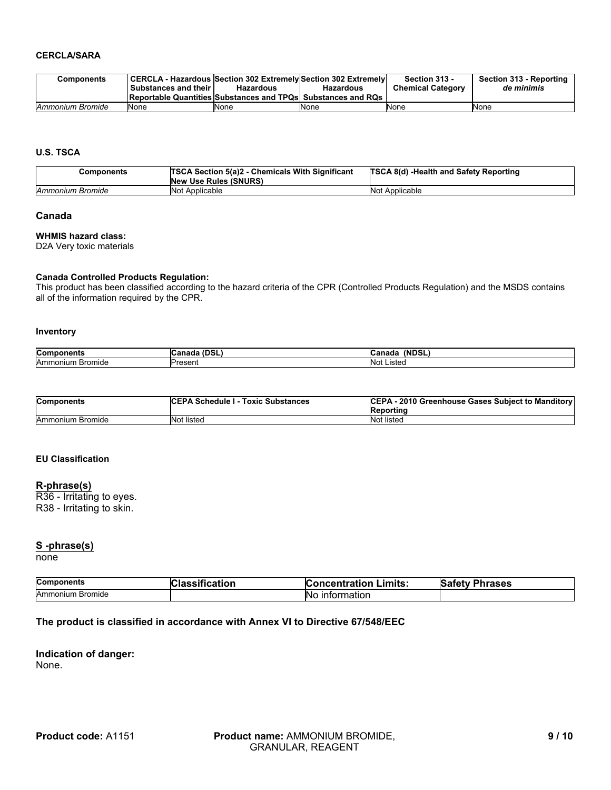#### **CERCLA/SARA**

| Components       |                      |                                                                     |                  | Section 313 -            | Section 313 - Reporting |
|------------------|----------------------|---------------------------------------------------------------------|------------------|--------------------------|-------------------------|
|                  | Substances and their | Hazardous                                                           | <b>Hazardous</b> | <b>Chemical Category</b> | de minimis              |
|                  |                      | <b>Reportable Quantities Substances and TPQs Substances and RQs</b> |                  |                          |                         |
| Ammonium Bromide | None                 | <b>None</b>                                                         | None             | <b>N</b> one             | None                    |

#### **U.S. TSCA**

| Components       | TSCA Section 5(a)2 - Chemicals With Significant<br><b>New Use Rules (SNURS)</b> | <b>TSCA 8(d) -Health and Safety Reporting</b> |
|------------------|---------------------------------------------------------------------------------|-----------------------------------------------|
| Ammonium Bromide | Not Applicable                                                                  | Not Applicable                                |

## **Canada**

#### **WHMIS hazard class:**

D2A Very toxic materials

#### **Canada Controlled Products Regulation:**

This product has been classified according to the hazard criteria of the CPR (Controlled Products Regulation) and the MSDS contains all of the information required by the CPR.

#### **Inventory**

| Con<br>ш               | . .<br>ı<br>$\sim$<br>ми<br><b>UJJL</b> | $\cdots$<br>DSI<br>I R |
|------------------------|-----------------------------------------|------------------------|
| Amr<br>nide<br>൸<br>וכ | Jrocon*                                 | <b>No</b><br>.isteo    |

| <b>Components</b> | <b>ICEPA Schedule I - Toxic Substances</b> | CEPA - 2010 Greenhouse Gases Subject to Manditory<br>Reportinc |
|-------------------|--------------------------------------------|----------------------------------------------------------------|
| Ammonium Bromide  | Not listed                                 | Not listed                                                     |

#### **EU Classification**

#### **R-phrase(s)**

R36 - Irritating to eyes. R38 - Irritating to skin.

### **S -phrase(s)**

none

| <b>Components</b> | fication | Limits:              | Safety  |
|-------------------|----------|----------------------|---------|
|                   | чаээн.   | <b>Concentration</b> | Phrases |
| Ammonium Bromide  |          | ⊥nformation<br>NO.   |         |

## **The product is classified in accordance with Annex VI to Directive 67/548/EEC**

**Indication of danger:** None.